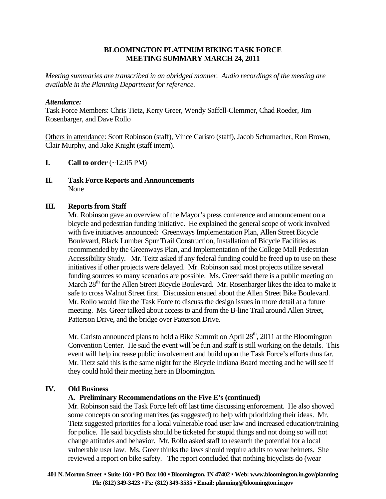### **BLOOMINGTON PLATINUM BIKING TASK FORCE MEETING SUMMARY MARCH 24, 2011**

*Meeting summaries are transcribed in an abridged manner. Audio recordings of the meeting are available in the Planning Department for reference.*

### *Attendance:*

Task Force Members: Chris Tietz, Kerry Greer, Wendy Saffell-Clemmer, Chad Roeder, Jim Rosenbarger, and Dave Rollo

Others in attendance: Scott Robinson (staff), Vince Caristo (staff), Jacob Schumacher, Ron Brown, Clair Murphy, and Jake Knight (staff intern).

- **I.** Call to order  $(\sim 12:05 \text{ PM})$
- **II. Task Force Reports and Announcements**  None

# **III. Reports from Staff**

 Mr. Robinson gave an overview of the Mayor's press conference and announcement on a bicycle and pedestrian funding initiative. He explained the general scope of work involved with five initiatives announced: Greenways Implementation Plan, Allen Street Bicycle Boulevard, Black Lumber Spur Trail Construction, Installation of Bicycle Facilities as recommended by the Greenways Plan, and Implementation of the College Mall Pedestrian Accessibility Study. Mr. Teitz asked if any federal funding could be freed up to use on these initiatives if other projects were delayed. Mr. Robinson said most projects utilize several funding sources so many scenarios are possible. Ms. Greer said there is a public meeting on March 28<sup>th</sup> for the Allen Street Bicycle Boulevard. Mr. Rosenbarger likes the idea to make it safe to cross Walnut Street first. Discussion ensued about the Allen Street Bike Boulevard. Mr. Rollo would like the Task Force to discuss the design issues in more detail at a future meeting. Ms. Greer talked about access to and from the B-line Trail around Allen Street, Patterson Drive, and the bridge over Patterson Drive.

Mr. Caristo announced plans to hold a Bike Summit on April  $28<sup>th</sup>$ , 2011 at the Bloomington Convention Center. He said the event will be fun and staff is still working on the details. This event will help increase public involvement and build upon the Task Force's efforts thus far. Mr. Tietz said this is the same night for the Bicycle Indiana Board meeting and he will see if they could hold their meeting here in Bloomington.

#### **IV. Old Business**

# **A. Preliminary Recommendations on the Five E's (continued)**

 Mr. Robinson said the Task Force left off last time discussing enforcement. He also showed some concepts on scoring matrixes (as suggested) to help with prioritizing their ideas. Mr. Tietz suggested priorities for a local vulnerable road user law and increased education/training for police. He said bicyclists should be ticketed for stupid things and not doing so will not change attitudes and behavior. Mr. Rollo asked staff to research the potential for a local vulnerable user law. Ms. Greer thinks the laws should require adults to wear helmets. She reviewed a report on bike safety. The report concluded that nothing bicyclists do (wear